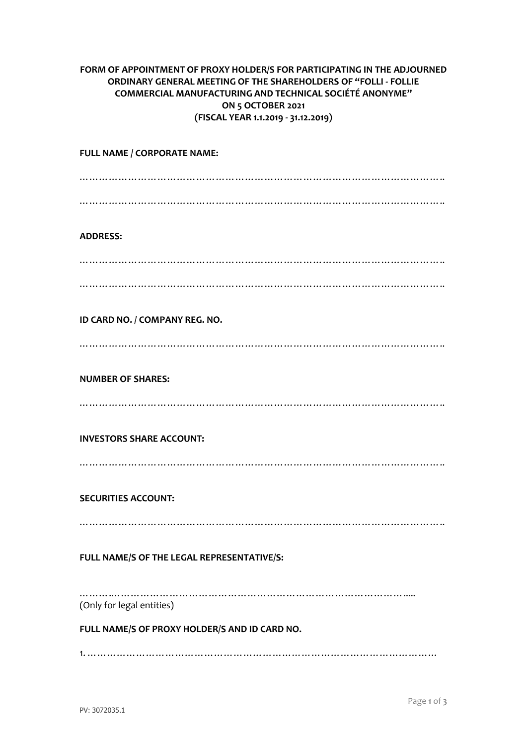## **FORM OF APPOINTMENT OF PROXY HOLDER/S FOR PARTICIPATING IN THE ADJOURNED ORDINARY GENERAL MEETING OF THE SHAREHOLDERS OF "FOLLI - FOLLIE COMMERCIAL MANUFACTURING AND TECHNICAL SOCIÉTÉ ANONYME" ON 5 OCTOBER 2021 (FISCAL YEAR 1.1.2019 - 31.12.2019)**

**FULL NAME / CORPORATE NAME:** ………………………………………………………………………………………………….. ………………………………………………………………………………………………….. **ADDRESS:** ………………………………………………………………………………………………….. ………………………………………………………………………………………………….. **ID CARD NO. / COMPANY REG. NO.** ………………………………………………………………………………………………….. **NUMBER OF SHARES:** ………………………………………………………………………………………………….. **INVESTORS SHARE ACCOUNT:** ………………………………………………………………………………………………….. **SECURITIES ACCOUNT:** ………………………………………………………………………………………………….. **FULL NAME/S OF THE LEGAL REPRESENTATIVE/S:** …………………………………………………………………………………………… (Only for legal entities)

**FULL NAME/S OF PROXY HOLDER/S AND ID CARD NO.**

1. ………………………………………………………………………………………………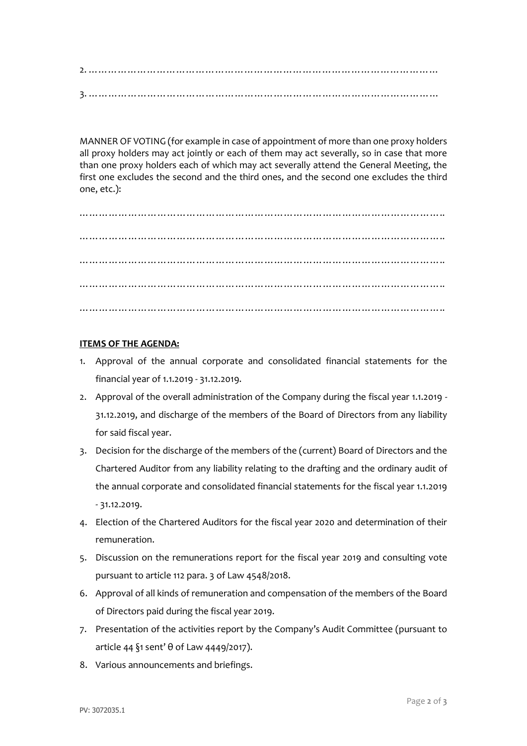2. ……………………………………………………………………………………………… 3. ………………………………………………………………………………………………

MANNER OF VOTING (for example in case of appointment of more than one proxy holders all proxy holders may act jointly or each of them may act severally, so in case that more than one proxy holders each of which may act severally attend the General Meeting, the first one excludes the second and the third ones, and the second one excludes the third one, etc.):

………………………………………………………………………………………………….. ………………………………………………………………………………………………….. ………………………………………………………………………………………………….. ………………………………………………………………………………………………….. …………………………………………………………………………………………………..

## **ITEMS OF THE AGENDA:**

- 1. Approval of the annual corporate and consolidated financial statements for the financial year of 1.1.2019 - 31.12.2019.
- 2. Approval of the overall administration of the Company during the fiscal year 1.1.2019 31.12.2019, and discharge of the members of the Board of Directors from any liability for said fiscal year.
- 3. Decision for the discharge of the members of the (current) Board of Directors and the Chartered Auditor from any liability relating to the drafting and the ordinary audit of the annual corporate and consolidated financial statements for the fiscal year 1.1.2019 - 31.12.2019.
- 4. Election of the Chartered Auditors for the fiscal year 2020 and determination of their remuneration.
- 5. Discussion on the remunerations report for the fiscal year 2019 and consulting vote pursuant to article 112 para. 3 of Law 4548/2018.
- 6. Approval of all kinds of remuneration and compensation of the members of the Board of Directors paid during the fiscal year 2019.
- 7. Presentation of the activities report by the Company's Audit Committee (pursuant to article 44 §1 sent' θ of Law 4449/2017).
- 8. Various announcements and briefings.